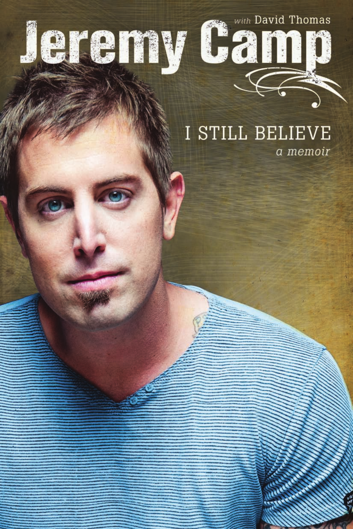

# I STILL BELIEVE a memoir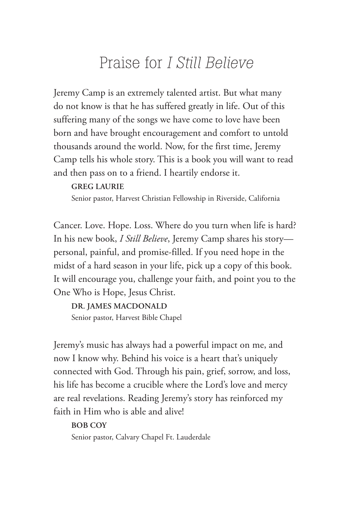## Praise for *I Still Believe*

Jeremy Camp is an extremely talented artist. But what many do not know is that he has suffered greatly in life. Out of this suffering many of the songs we have come to love have been born and have brought encouragement and comfort to untold thousands around the world. Now, for the first time, Jeremy Camp tells his whole story. This is a book you will want to read and then pass on to a friend. I heartily endorse it.

#### **Greg Laurie**

Senior pastor, Harvest Christian Fellowship in Riverside, California

Cancer. Love. Hope. Loss. Where do you turn when life is hard? In his new book, *I Still Believe*, Jeremy Camp shares his story personal, painful, and promise-filled. If you need hope in the midst of a hard season in your life, pick up a copy of this book. It will encourage you, challenge your faith, and point you to the One Who is Hope, Jesus Christ.

**Dr. James Macdonald** Senior pastor, Harvest Bible Chapel

Jeremy's music has always had a powerful impact on me, and now I know why. Behind his voice is a heart that's uniquely connected with God. Through his pain, grief, sorrow, and loss, his life has become a crucible where the Lord's love and mercy are real revelations. Reading Jeremy's story has reinforced my faith in Him who is able and alive!

#### **Bob Coy**

Senior pastor, Calvary Chapel Ft. Lauderdale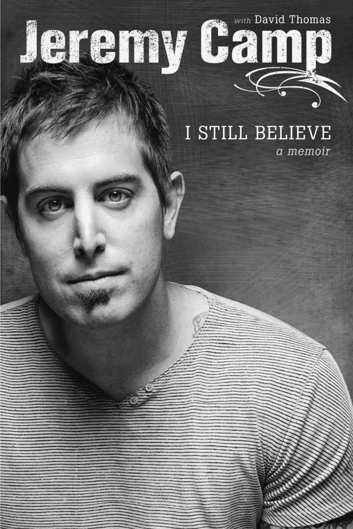



# I STILL BELIEVE a memoir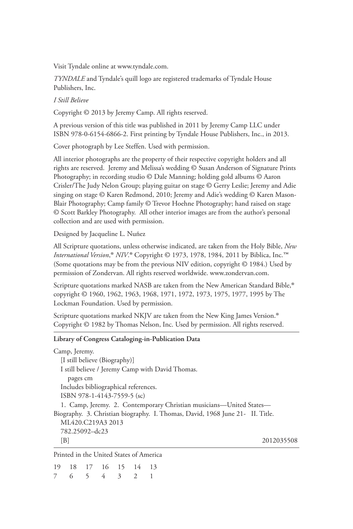Visit Tyndale online at www.tyndale.com.

*TYNDALE* and Tyndale's quill logo are registered trademarks of Tyndale House Publishers, Inc.

#### *I Still Believe*

Copyright © 2013 by Jeremy Camp. All rights reserved.

A previous version of this title was published in 2011 by Jeremy Camp LLC under ISBN 978-0-6154-6866-2. First printing by Tyndale House Publishers, Inc., in 2013.

Cover photograph by Lee Steffen. Used with permission.

All interior photographs are the property of their respective copyright holders and all rights are reserved. Jeremy and Melissa's wedding © Susan Anderson of Signature Prints Photography; in recording studio © Dale Manning; holding gold albums © Aaron Crisler/The Judy Nelon Group; playing guitar on stage © Gerry Leslie; Jeremy and Adie singing on stage © Karen Redmond, 2010; Jeremy and Adie's wedding © Karen Mason-Blair Photography; Camp family © Trevor Hoehne Photography; hand raised on stage © Scott Barkley Photography. All other interior images are from the author's personal collection and are used with permission.

Designed by Jacqueline L. Nuñez

All Scripture quotations, unless otherwise indicated, are taken from the Holy Bible, *New International Version*, ® *NIV*. (Some quotations may be from the previous NIV edition, copyright © 1984.) Used by permission of Zondervan. All rights reserved worldwide. www.zondervan.com.

Scripture quotations marked NASB are taken from the New American Standard Bible,® copyright © 1960, 1962, 1963, 1968, 1971, 1972, 1973, 1975, 1977, 1995 by The Lockman Foundation. Used by permission.

Scripture quotations marked NKJV are taken from the New King James Version.® Copyright © 1982 by Thomas Nelson, Inc. Used by permission. All rights reserved.

#### **Library of Congress Cataloging-in-Publication Data**

| Camp, Jeremy.                                                                 |            |
|-------------------------------------------------------------------------------|------------|
| [I still believe (Biography)]                                                 |            |
| I still believe / Jeremy Camp with David Thomas.                              |            |
| pages cm                                                                      |            |
| Includes bibliographical references.                                          |            |
| ISBN 978-1-4143-7559-5 (sc)                                                   |            |
| 1. Camp, Jeremy. 2. Contemporary Christian musicians—United States—           |            |
| Biography. 3. Christian biography. I. Thomas, David, 1968 June 21- II. Title. |            |
| ML420.C219A3 2013                                                             |            |
| 782.25092-dc23                                                                |            |
| [B]                                                                           | 2012035508 |

Printed in the United States of America

19 18 17 16 15 14 13 7 6 5 4 3 2 1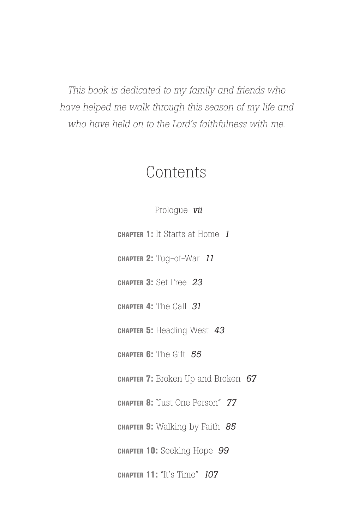*This book is dedicated to my family and friends who have helped me walk through this season of my life and who have held on to the Lord's faithfulness with me.*

### Contents

### [Prologue](#page-7-0) *vii*

- chapter 1: [It Starts at Home](#page-11-0) *1*
- chapter 2: Tug-of-War *11*
- chapter 3: Set Free *23*
- chapter 4: The Call *31*
- chapter 5: Heading West *43*
- chapter 6: The Gift *55*
- chapter 7: Broken Up and Broken *67*
- chapter 8: "Just One Person" *77*
- chapter 9: Walking by Faith *85*
- chapter 10: Seeking Hope *99*
- chapter 11: "It's Time" *107*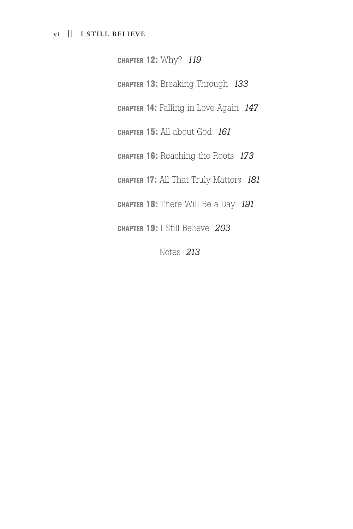#### **vi || I Still Believe**

chapter 12: Why? *119*

chapter 13: Breaking Through *133*

chapter 14: Falling in Love Again *147*

chapter 15: All about God *161*

chapter 16: Reaching the Roots *173*

chapter 17: All That Truly Matters *181*

chapter 18: There Will Be a Day *191*

chapter 19: I Still Believe *203*

Notes *213*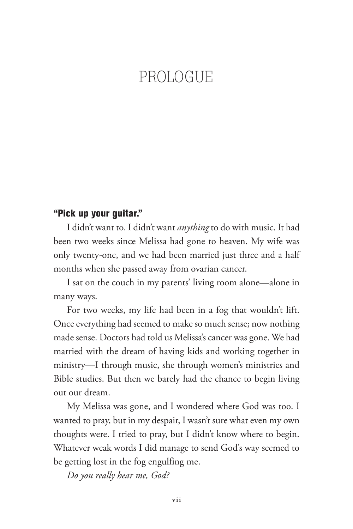# <span id="page-7-0"></span>PROLOGUE

### "Pick up your guitar."

I didn't want to. I didn't want *anything* to do with music. It had been two weeks since Melissa had gone to heaven. My wife was only twenty-one, and we had been married just three and a half months when she passed away from ovarian cancer.

I sat on the couch in my parents' living room alone—alone in many ways.

For two weeks, my life had been in a fog that wouldn't lift. Once everything had seemed to make so much sense; now nothing made sense. Doctors had told us Melissa's cancer was gone. We had married with the dream of having kids and working together in ministry—I through music, she through women's ministries and Bible studies. But then we barely had the chance to begin living out our dream.

My Melissa was gone, and I wondered where God was too. I wanted to pray, but in my despair, I wasn't sure what even my own thoughts were. I tried to pray, but I didn't know where to begin. Whatever weak words I did manage to send God's way seemed to be getting lost in the fog engulfing me.

*Do you really hear me, God?*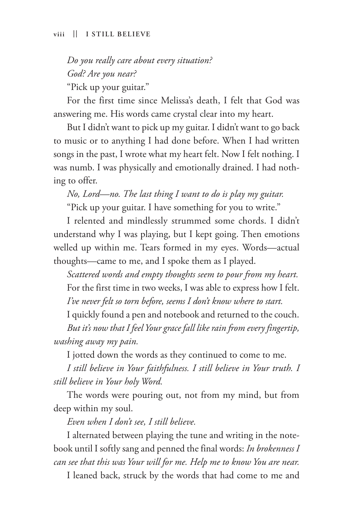*Do you really care about every situation? God? Are you near?* "Pick up your guitar."

For the first time since Melissa's death, I felt that God was answering me. His words came crystal clear into my heart.

But I didn't want to pick up my guitar. I didn't want to go back to music or to anything I had done before. When I had written songs in the past, I wrote what my heart felt. Now I felt nothing. I was numb. I was physically and emotionally drained. I had nothing to offer.

*No, Lord—no. The last thing I want to do is play my guitar.*

"Pick up your guitar. I have something for you to write."

I relented and mindlessly strummed some chords. I didn't understand why I was playing, but I kept going. Then emotions welled up within me. Tears formed in my eyes. Words—actual thoughts—came to me, and I spoke them as I played.

*Scattered words and empty thoughts seem to pour from my heart.* For the first time in two weeks, I was able to express how I felt. *I've never felt so torn before, seems I don't know where to start.*

I quickly found a pen and notebook and returned to the couch.

*But it's now that I feel Your grace fall like rain from every fingertip, washing away my pain.*

I jotted down the words as they continued to come to me.

*I still believe in Your faithfulness. I still believe in Your truth. I still believe in Your holy Word.*

The words were pouring out, not from my mind, but from deep within my soul.

*Even when I don't see, I still believe.*

I alternated between playing the tune and writing in the notebook until I softly sang and penned the final words: *In brokenness I can see that this was Your will for me. Help me to know You are near.*

I leaned back, struck by the words that had come to me and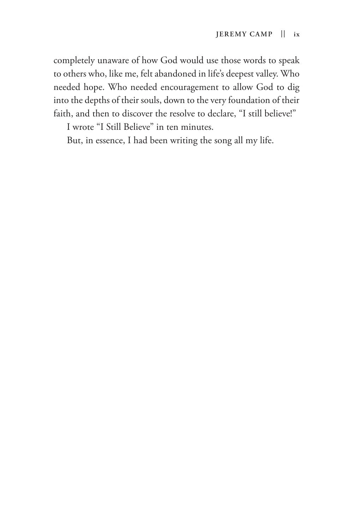completely unaware of how God would use those words to speak to others who, like me, felt abandoned in life's deepest valley. Who needed hope. Who needed encouragement to allow God to dig into the depths of their souls, down to the very foundation of their faith, and then to discover the resolve to declare, "I still believe!"

I wrote "I Still Believe" in ten minutes.

But, in essence, I had been writing the song all my life.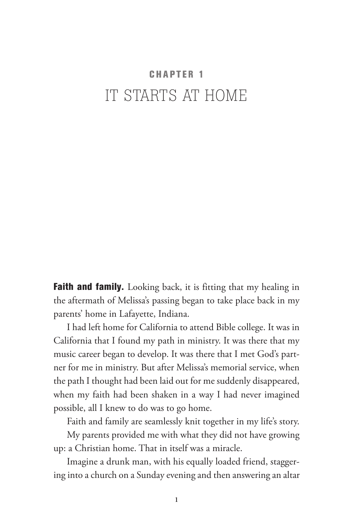# <span id="page-11-0"></span>CHAPTER 1 It Starts at Home

Faith and family. Looking back, it is fitting that my healing in the aftermath of Melissa's passing began to take place back in my parents' home in Lafayette, Indiana.

I had left home for California to attend Bible college. It was in California that I found my path in ministry. It was there that my music career began to develop. It was there that I met God's partner for me in ministry. But after Melissa's memorial service, when the path I thought had been laid out for me suddenly disappeared, when my faith had been shaken in a way I had never imagined possible, all I knew to do was to go home.

Faith and family are seamlessly knit together in my life's story.

My parents provided me with what they did not have growing up: a Christian home. That in itself was a miracle.

Imagine a drunk man, with his equally loaded friend, staggering into a church on a Sunday evening and then answering an altar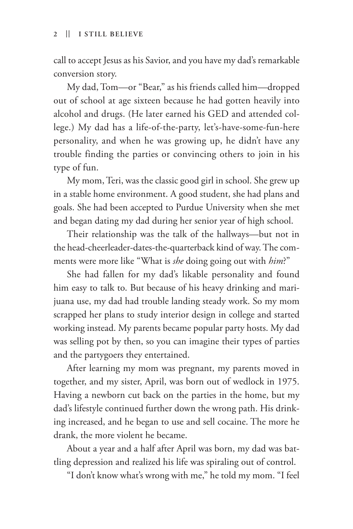call to accept Jesus as his Savior, and you have my dad's remarkable conversion story.

My dad, Tom—or "Bear," as his friends called him—dropped out of school at age sixteen because he had gotten heavily into alcohol and drugs. (He later earned his GED and attended college.) My dad has a life-of-the-party, let's-have-some-fun-here personality, and when he was growing up, he didn't have any trouble finding the parties or convincing others to join in his type of fun.

My mom, Teri, was the classic good girl in school. She grew up in a stable home environment. A good student, she had plans and goals. She had been accepted to Purdue University when she met and began dating my dad during her senior year of high school.

Their relationship was the talk of the hallways—but not in the head-cheerleader-dates-the-quarterback kind of way. The comments were more like "What is *she* doing going out with *him*?"

She had fallen for my dad's likable personality and found him easy to talk to. But because of his heavy drinking and marijuana use, my dad had trouble landing steady work. So my mom scrapped her plans to study interior design in college and started working instead. My parents became popular party hosts. My dad was selling pot by then, so you can imagine their types of parties and the partygoers they entertained.

After learning my mom was pregnant, my parents moved in together, and my sister, April, was born out of wedlock in 1975. Having a newborn cut back on the parties in the home, but my dad's lifestyle continued further down the wrong path. His drinking increased, and he began to use and sell cocaine. The more he drank, the more violent he became.

About a year and a half after April was born, my dad was battling depression and realized his life was spiraling out of control.

"I don't know what's wrong with me," he told my mom. "I feel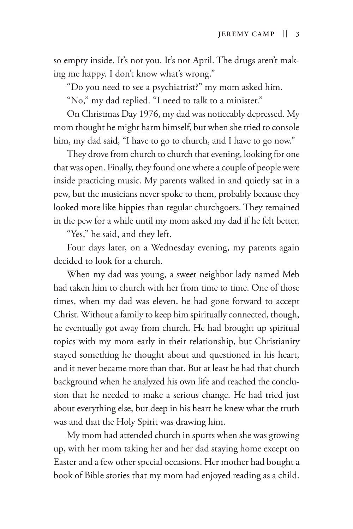so empty inside. It's not you. It's not April. The drugs aren't making me happy. I don't know what's wrong."

"Do you need to see a psychiatrist?" my mom asked him.

"No," my dad replied. "I need to talk to a minister."

On Christmas Day 1976, my dad was noticeably depressed. My mom thought he might harm himself, but when she tried to console him, my dad said, "I have to go to church, and I have to go now."

They drove from church to church that evening, looking for one that was open. Finally, they found one where a couple of people were inside practicing music. My parents walked in and quietly sat in a pew, but the musicians never spoke to them, probably because they looked more like hippies than regular churchgoers. They remained in the pew for a while until my mom asked my dad if he felt better.

"Yes," he said, and they left.

Four days later, on a Wednesday evening, my parents again decided to look for a church.

When my dad was young, a sweet neighbor lady named Meb had taken him to church with her from time to time. One of those times, when my dad was eleven, he had gone forward to accept Christ. Without a family to keep him spiritually connected, though, he eventually got away from church. He had brought up spiritual topics with my mom early in their relationship, but Christianity stayed something he thought about and questioned in his heart, and it never became more than that. But at least he had that church background when he analyzed his own life and reached the conclusion that he needed to make a serious change. He had tried just about everything else, but deep in his heart he knew what the truth was and that the Holy Spirit was drawing him.

My mom had attended church in spurts when she was growing up, with her mom taking her and her dad staying home except on Easter and a few other special occasions. Her mother had bought a book of Bible stories that my mom had enjoyed reading as a child.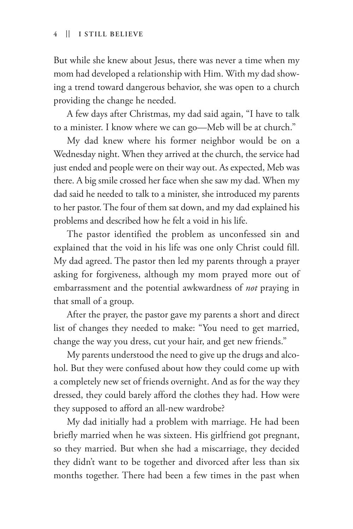But while she knew about Jesus, there was never a time when my mom had developed a relationship with Him. With my dad showing a trend toward dangerous behavior, she was open to a church providing the change he needed.

A few days after Christmas, my dad said again, "I have to talk to a minister. I know where we can go—Meb will be at church."

My dad knew where his former neighbor would be on a Wednesday night. When they arrived at the church, the service had just ended and people were on their way out. As expected, Meb was there. A big smile crossed her face when she saw my dad. When my dad said he needed to talk to a minister, she introduced my parents to her pastor. The four of them sat down, and my dad explained his problems and described how he felt a void in his life.

The pastor identified the problem as unconfessed sin and explained that the void in his life was one only Christ could fill. My dad agreed. The pastor then led my parents through a prayer asking for forgiveness, although my mom prayed more out of embarrassment and the potential awkwardness of *not* praying in that small of a group.

After the prayer, the pastor gave my parents a short and direct list of changes they needed to make: "You need to get married, change the way you dress, cut your hair, and get new friends."

My parents understood the need to give up the drugs and alcohol. But they were confused about how they could come up with a completely new set of friends overnight. And as for the way they dressed, they could barely afford the clothes they had. How were they supposed to afford an all-new wardrobe?

My dad initially had a problem with marriage. He had been briefly married when he was sixteen. His girlfriend got pregnant, so they married. But when she had a miscarriage, they decided they didn't want to be together and divorced after less than six months together. There had been a few times in the past when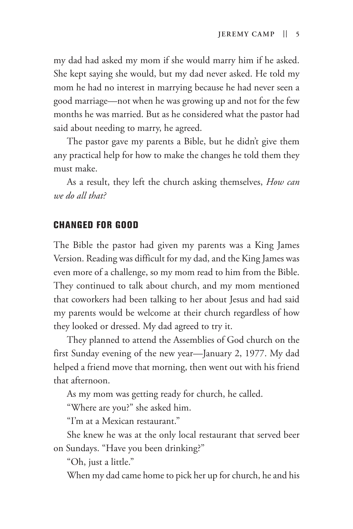my dad had asked my mom if she would marry him if he asked. She kept saying she would, but my dad never asked. He told my mom he had no interest in marrying because he had never seen a good marriage—not when he was growing up and not for the few months he was married. But as he considered what the pastor had said about needing to marry, he agreed.

The pastor gave my parents a Bible, but he didn't give them any practical help for how to make the changes he told them they must make.

As a result, they left the church asking themselves, *How can we do all that?*

### Changed for Good

The Bible the pastor had given my parents was a King James Version. Reading was difficult for my dad, and the King James was even more of a challenge, so my mom read to him from the Bible. They continued to talk about church, and my mom mentioned that coworkers had been talking to her about Jesus and had said my parents would be welcome at their church regardless of how they looked or dressed. My dad agreed to try it.

They planned to attend the Assemblies of God church on the first Sunday evening of the new year—January 2, 1977. My dad helped a friend move that morning, then went out with his friend that afternoon.

As my mom was getting ready for church, he called.

"Where are you?" she asked him.

"I'm at a Mexican restaurant."

She knew he was at the only local restaurant that served beer on Sundays. "Have you been drinking?"

"Oh, just a little."

When my dad came home to pick her up for church, he and his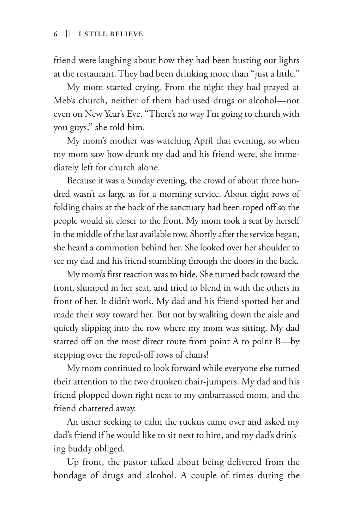friend were laughing about how they had been busting out lights at the restaurant. They had been drinking more than "just a little."

My mom started crying. From the night they had prayed at Meb's church, neither of them had used drugs or alcohol—not even on New Year's Eve. "There's no way I'm going to church with you guys," she told him.

My mom's mother was watching April that evening, so when my mom saw how drunk my dad and his friend were, she immediately left for church alone.

Because it was a Sunday evening, the crowd of about three hundred wasn't as large as for a morning service. About eight rows of folding chairs at the back of the sanctuary had been roped off so the people would sit closer to the front. My mom took a seat by herself in the middle of the last available row. Shortly after the service began, she heard a commotion behind her. She looked over her shoulder to see my dad and his friend stumbling through the doors in the back.

My mom's first reaction was to hide. She turned back toward the front, slumped in her seat, and tried to blend in with the others in front of her. It didn't work. My dad and his friend spotted her and made their way toward her. But not by walking down the aisle and quietly slipping into the row where my mom was sitting. My dad started off on the most direct route from point A to point B—by stepping over the roped-off rows of chairs!

My mom continued to look forward while everyone else turned their attention to the two drunken chair-jumpers. My dad and his friend plopped down right next to my embarrassed mom, and the friend chattered away.

An usher seeking to calm the ruckus came over and asked my dad's friend if he would like to sit next to him, and my dad's drinking buddy obliged.

Up front, the pastor talked about being delivered from the bondage of drugs and alcohol. A couple of times during the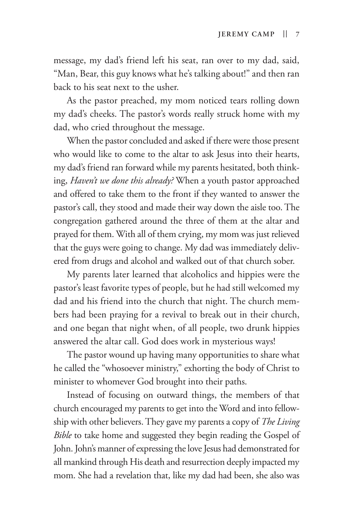message, my dad's friend left his seat, ran over to my dad, said, "Man, Bear, this guy knows what he's talking about!" and then ran back to his seat next to the usher.

As the pastor preached, my mom noticed tears rolling down my dad's cheeks. The pastor's words really struck home with my dad, who cried throughout the message.

When the pastor concluded and asked if there were those present who would like to come to the altar to ask Jesus into their hearts, my dad's friend ran forward while my parents hesitated, both thinking, *Haven't we done this already?* When a youth pastor approached and offered to take them to the front if they wanted to answer the pastor's call, they stood and made their way down the aisle too. The congregation gathered around the three of them at the altar and prayed for them. With all of them crying, my mom was just relieved that the guys were going to change. My dad was immediately delivered from drugs and alcohol and walked out of that church sober.

My parents later learned that alcoholics and hippies were the pastor's least favorite types of people, but he had still welcomed my dad and his friend into the church that night. The church members had been praying for a revival to break out in their church, and one began that night when, of all people, two drunk hippies answered the altar call. God does work in mysterious ways!

The pastor wound up having many opportunities to share what he called the "whosoever ministry," exhorting the body of Christ to minister to whomever God brought into their paths.

Instead of focusing on outward things, the members of that church encouraged my parents to get into the Word and into fellowship with other believers. They gave my parents a copy of *The Living Bible* to take home and suggested they begin reading the Gospel of John. John's manner of expressing the love Jesus had demonstrated for all mankind through His death and resurrection deeply impacted my mom. She had a revelation that, like my dad had been, she also was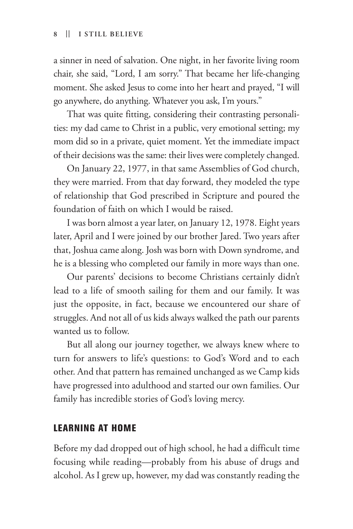a sinner in need of salvation. One night, in her favorite living room chair, she said, "Lord, I am sorry." That became her life-changing moment. She asked Jesus to come into her heart and prayed, "I will go anywhere, do anything. Whatever you ask, I'm yours."

That was quite fitting, considering their contrasting personalities: my dad came to Christ in a public, very emotional setting; my mom did so in a private, quiet moment. Yet the immediate impact of their decisions was the same: their lives were completely changed.

On January 22, 1977, in that same Assemblies of God church, they were married. From that day forward, they modeled the type of relationship that God prescribed in Scripture and poured the foundation of faith on which I would be raised.

I was born almost a year later, on January 12, 1978. Eight years later, April and I were joined by our brother Jared. Two years after that, Joshua came along. Josh was born with Down syndrome, and he is a blessing who completed our family in more ways than one.

Our parents' decisions to become Christians certainly didn't lead to a life of smooth sailing for them and our family. It was just the opposite, in fact, because we encountered our share of struggles. And not all of us kids always walked the path our parents wanted us to follow.

But all along our journey together, we always knew where to turn for answers to life's questions: to God's Word and to each other. And that pattern has remained unchanged as we Camp kids have progressed into adulthood and started our own families. Our family has incredible stories of God's loving mercy.

### Learning at Home

Before my dad dropped out of high school, he had a difficult time focusing while reading—probably from his abuse of drugs and alcohol. As I grew up, however, my dad was constantly reading the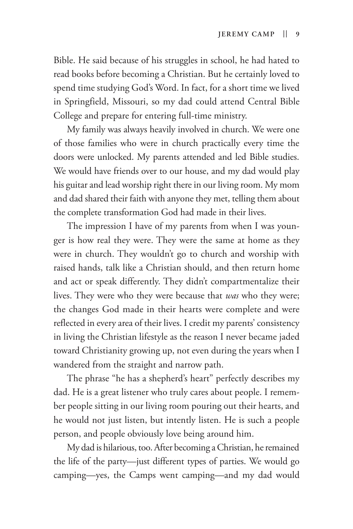Bible. He said because of his struggles in school, he had hated to read books before becoming a Christian. But he certainly loved to spend time studying God's Word. In fact, for a short time we lived in Springfield, Missouri, so my dad could attend Central Bible College and prepare for entering full-time ministry.

My family was always heavily involved in church. We were one of those families who were in church practically every time the doors were unlocked. My parents attended and led Bible studies. We would have friends over to our house, and my dad would play his guitar and lead worship right there in our living room. My mom and dad shared their faith with anyone they met, telling them about the complete transformation God had made in their lives.

The impression I have of my parents from when I was younger is how real they were. They were the same at home as they were in church. They wouldn't go to church and worship with raised hands, talk like a Christian should, and then return home and act or speak differently. They didn't compartmentalize their lives. They were who they were because that *was* who they were; the changes God made in their hearts were complete and were reflected in every area of their lives. I credit my parents' consistency in living the Christian lifestyle as the reason I never became jaded toward Christianity growing up, not even during the years when I wandered from the straight and narrow path.

The phrase "he has a shepherd's heart" perfectly describes my dad. He is a great listener who truly cares about people. I remember people sitting in our living room pouring out their hearts, and he would not just listen, but intently listen. He is such a people person, and people obviously love being around him.

My dad is hilarious, too. After becoming a Christian, he remained the life of the party—just different types of parties. We would go camping—yes, the Camps went camping—and my dad would